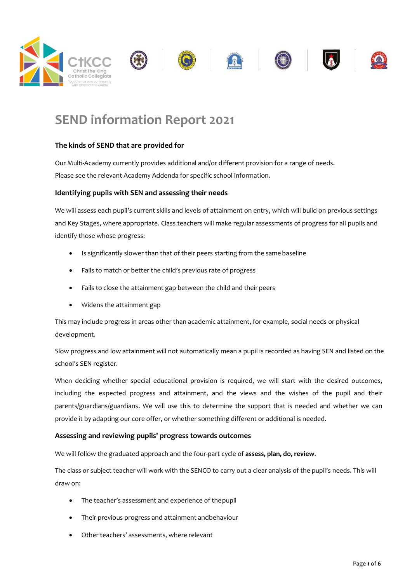

# SEND information Report 2021

#### The kinds of SEND that are provided for

Our Multi-Academy currently provides additional and/or different provision for a range of needs. Please see the relevant Academy Addenda for specific school information.

#### Identifying pupils with SEN and assessing their needs

We will assess each pupil's current skills and levels of attainment on entry, which will build on previous settings and Key Stages, where appropriate. Class teachers will make regular assessments of progress for all pupils and identify those whose progress:

- Is significantly slower than that of their peers starting from the same baseline
- Fails to match or better the child's previous rate of progress
- Fails to close the attainment gap between the child and their peers
- Widens the attainment gap

This may include progress in areas other than academic attainment, for example, social needs or physical development.

Slow progress and low attainment will not automatically mean a pupil is recorded as having SEN and listed on the school's SEN register.

When deciding whether special educational provision is required, we will start with the desired outcomes, including the expected progress and attainment, and the views and the wishes of the pupil and their parents/guardians/guardians. We will use this to determine the support that is needed and whether we can provide it by adapting our core offer, or whether something different or additional is needed.

#### Assessing and reviewing pupils' progress towards outcomes

We will follow the graduated approach and the four-part cycle of assess, plan, do, review.

The class or subject teacher will work with the SENCO to carry out a clear analysis of the pupil's needs. This will draw on:

- The teacher's assessment and experience of the pupil
- Their previous progress and attainment andbehaviour
- Other teachers' assessments, where relevant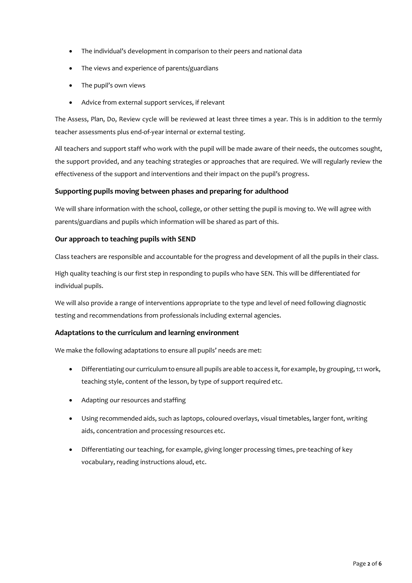- The individual's development in comparison to their peers and national data
- The views and experience of parents/guardians
- The pupil's own views
- Advice from external support services, if relevant

The Assess, Plan, Do, Review cycle will be reviewed at least three times a year. This is in addition to the termly teacher assessments plus end-of-year internal or external testing.

All teachers and support staff who work with the pupil will be made aware of their needs, the outcomes sought, the support provided, and any teaching strategies or approaches that are required. We will regularly review the effectiveness of the support and interventions and their impact on the pupil's progress.

#### Supporting pupils moving between phases and preparing for adulthood

We will share information with the school, college, or other setting the pupil is moving to. We will agree with parents/guardians and pupils which information will be shared as part of this.

#### Our approach to teaching pupils with SEND

Class teachers are responsible and accountable for the progress and development of all the pupils in their class.

High quality teaching is our first step in responding to pupils who have SEN. This will be differentiated for individual pupils.

We will also provide a range of interventions appropriate to the type and level of need following diagnostic testing and recommendations from professionals including external agencies.

#### Adaptations to the curriculum and learning environment

We make the following adaptations to ensure all pupils' needs are met:

- Differentiating our curriculum to ensure all pupils are able to access it, for example, by grouping, 1:1 work, teaching style, content of the lesson, by type of support required etc.
- Adapting our resources and staffing
- Using recommended aids, such as laptops, coloured overlays, visual timetables, larger font, writing aids, concentration and processing resources etc.
- Differentiating our teaching, for example, giving longer processing times, pre-teaching of key vocabulary, reading instructions aloud, etc.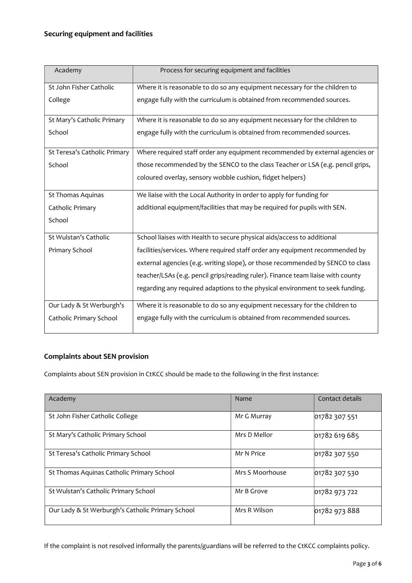#### Securing equipment and facilities

| Academy                      | Process for securing equipment and facilities                                   |  |
|------------------------------|---------------------------------------------------------------------------------|--|
| St John Fisher Catholic      | Where it is reasonable to do so any equipment necessary for the children to     |  |
| College                      | engage fully with the curriculum is obtained from recommended sources.          |  |
| St Mary's Catholic Primary   | Where it is reasonable to do so any equipment necessary for the children to     |  |
| School                       | engage fully with the curriculum is obtained from recommended sources.          |  |
| St Teresa's Catholic Primary | Where required staff order any equipment recommended by external agencies or    |  |
| School                       | those recommended by the SENCO to the class Teacher or LSA (e.g. pencil grips,  |  |
|                              | coloured overlay, sensory wobble cushion, fidget helpers)                       |  |
| St Thomas Aquinas            | We liaise with the Local Authority in order to apply for funding for            |  |
| Catholic Primary             | additional equipment/facilities that may be required for pupils with SEN.       |  |
| School                       |                                                                                 |  |
| St Wulstan's Catholic        | School liaises with Health to secure physical aids/access to additional         |  |
| Primary School               | facilities/services. Where required staff order any equipment recommended by    |  |
|                              | external agencies (e.g. writing slope), or those recommended by SENCO to class  |  |
|                              | teacher/LSAs (e.g. pencil grips/reading ruler). Finance team liaise with county |  |
|                              | regarding any required adaptions to the physical environment to seek funding.   |  |
| Our Lady & St Werburgh's     | Where it is reasonable to do so any equipment necessary for the children to     |  |
| Catholic Primary School      | engage fully with the curriculum is obtained from recommended sources.          |  |

#### Complaints about SEN provision

Complaints about SEN provision in CtKCC should be made to the following in the first instance:

| Academy                                          | Name            | Contact details |
|--------------------------------------------------|-----------------|-----------------|
| St John Fisher Catholic College                  | Mr G Murray     | 01782 307 551   |
| St Mary's Catholic Primary School                | Mrs D Mellor    | 01782 619 685   |
| St Teresa's Catholic Primary School              | Mr N Price      | 01782 307 550   |
| St Thomas Aquinas Catholic Primary School        | Mrs S Moorhouse | 01782 307 530   |
| St Wulstan's Catholic Primary School             | Mr B Grove      | 01782 973 722   |
| Our Lady & St Werburgh's Catholic Primary School | Mrs R Wilson    | 01782 973 888   |

If the complaint is not resolved informally the parents/guardians will be referred to the CtKCC complaints policy.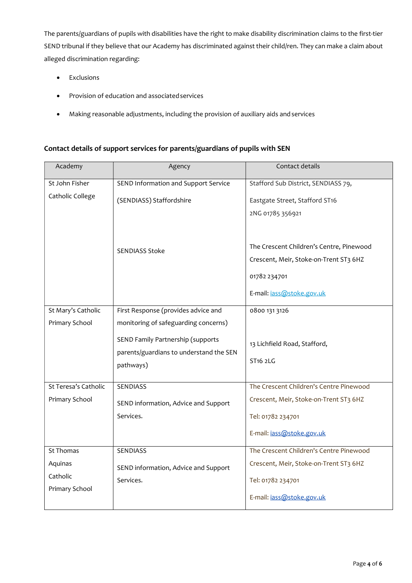The parents/guardians of pupils with disabilities have the right to make disability discrimination claims to the first-tier SEND tribunal if they believe that our Academy has discriminated against their child/ren. They can make a claim about alleged discrimination regarding:

- **•** Exclusions
- Provision of education and associated services
- Making reasonable adjustments, including the provision of auxiliary aids and services

#### Contact details of support services for parents/guardians of pupils with SEN

| Academy              | Agency                                  | Contact details                          |
|----------------------|-----------------------------------------|------------------------------------------|
| St John Fisher       | SEND Information and Support Service    | Stafford Sub District, SENDIASS 79,      |
| Catholic College     | (SENDIASS) Staffordshire                | Eastgate Street, Stafford ST16           |
|                      |                                         | 2NG 01785 356921                         |
|                      | <b>SENDIASS Stoke</b>                   |                                          |
|                      |                                         | The Crescent Children's Centre, Pinewood |
|                      |                                         | Crescent, Meir, Stoke-on-Trent ST3 6HZ   |
|                      |                                         | 01782 234701                             |
|                      |                                         | E-mail: jass@stoke.gov.uk                |
| St Mary's Catholic   | First Response (provides advice and     | 0800 131 3126                            |
| Primary School       | monitoring of safeguarding concerns)    |                                          |
|                      | SEND Family Partnership (supports       | 13 Lichfield Road, Stafford,             |
|                      | parents/guardians to understand the SEN | ST <sub>16</sub> 2LG                     |
|                      | pathways)                               |                                          |
| St Teresa's Catholic | <b>SENDIASS</b>                         | The Crescent Children's Centre Pinewood  |
| Primary School       |                                         | Crescent, Meir, Stoke-on-Trent ST3 6HZ   |
|                      | SEND information, Advice and Support    |                                          |
|                      | Services.                               | Tel: 01782 234701                        |
|                      |                                         | E-mail: jass@stoke.gov.uk                |
| <b>St Thomas</b>     | SENDIASS                                | The Crescent Children's Centre Pinewood  |
| Aquinas              | SEND information, Advice and Support    | Crescent, Meir, Stoke-on-Trent ST3 6HZ   |
| Catholic             | Services.                               | Tel: 01782 234701                        |
| Primary School       |                                         | E-mail: jass@stoke.gov.uk                |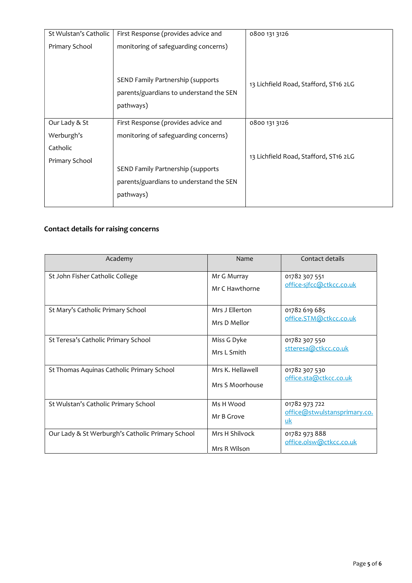| St Wulstan's Catholic | First Response (provides advice and     | 0800 131 3126                         |
|-----------------------|-----------------------------------------|---------------------------------------|
| Primary School        | monitoring of safeguarding concerns)    |                                       |
|                       |                                         |                                       |
|                       |                                         |                                       |
|                       | SEND Family Partnership (supports       | 13 Lichfield Road, Stafford, ST16 2LG |
|                       | parents/guardians to understand the SEN |                                       |
|                       | pathways)                               |                                       |
| Our Lady & St         | First Response (provides advice and     | 0800 131 3126                         |
| Werburgh's            | monitoring of safeguarding concerns)    |                                       |
| Catholic              |                                         |                                       |
| Primary School        |                                         | 13 Lichfield Road, Stafford, ST16 2LG |
|                       | SEND Family Partnership (supports       |                                       |
|                       | parents/guardians to understand the SEN |                                       |
|                       | pathways)                               |                                       |
|                       |                                         |                                       |

### Contact details for raising concerns

| Academy                                          | Name                                | Contact details                                     |
|--------------------------------------------------|-------------------------------------|-----------------------------------------------------|
| St John Fisher Catholic College                  | Mr G Murray<br>Mr C Hawthorne       | 01782 307 551<br>office-sjfcc@ctkcc.co.uk           |
| St Mary's Catholic Primary School                | Mrs J Ellerton<br>Mrs D Mellor      | 01782 619 685<br>office.STM@ctkcc.co.uk             |
| St Teresa's Catholic Primary School              | Miss G Dyke<br>Mrs I Smith          | 01782 307 550<br>stteresa@ctkcc.co.uk               |
| St Thomas Aquinas Catholic Primary School        | Mrs K. Hellawell<br>Mrs S Moorhouse | 01782 307 530<br>office.sta@ctkcc.co.uk             |
| St Wulstan's Catholic Primary School             | Ms H Wood<br>Mr B Grove             | 01782 973 722<br>office@stwulstansprimary.co.<br>uk |
| Our Lady & St Werburgh's Catholic Primary School | Mrs H Shilvock<br>Mrs R Wilson      | 01782 973 888<br>office.olsw@ctkcc.co.uk            |